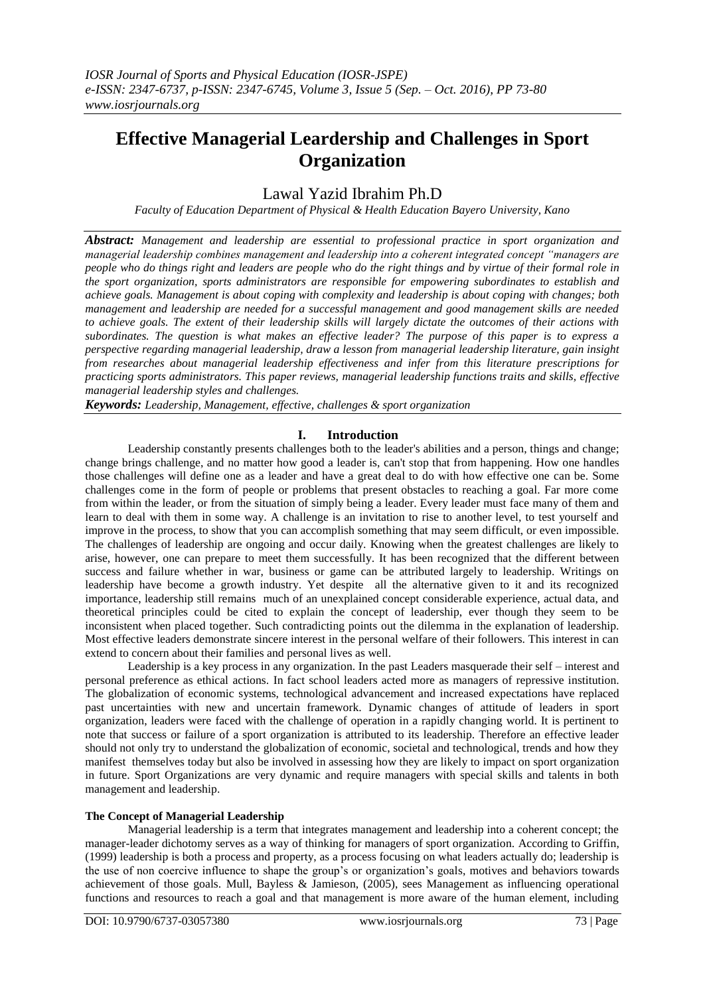# **Effective Managerial Leardership and Challenges in Sport Organization**

# Lawal Yazid Ibrahim Ph.D

*Faculty of Education Department of Physical & Health Education Bayero University, Kano*

*Abstract: Management and leadership are essential to professional practice in sport organization and managerial leadership combines management and leadership into a coherent integrated concept "managers are people who do things right and leaders are people who do the right things and by virtue of their formal role in the sport organization, sports administrators are responsible for empowering subordinates to establish and achieve goals. Management is about coping with complexity and leadership is about coping with changes; both management and leadership are needed for a successful management and good management skills are needed to achieve goals. The extent of their leadership skills will largely dictate the outcomes of their actions with subordinates. The question is what makes an effective leader? The purpose of this paper is to express a perspective regarding managerial leadership, draw a lesson from managerial leadership literature, gain insight from researches about managerial leadership effectiveness and infer from this literature prescriptions for practicing sports administrators. This paper reviews, managerial leadership functions traits and skills, effective managerial leadership styles and challenges.*

*Keywords: Leadership, Management, effective, challenges & sport organization*

# **I. Introduction**

Leadership constantly presents challenges both to the leader's abilities and a person, things and change; change brings challenge, and no matter how good a leader is, can't stop that from happening. How one handles those challenges will define one as a leader and have a great deal to do with how effective one can be. Some challenges come in the form of people or problems that present obstacles to reaching a goal. Far more come from within the leader, or from the situation of simply being a leader. Every leader must face many of them and learn to deal with them in some way. A challenge is an invitation to rise to another level, to test yourself and improve in the process, to show that you can accomplish something that may seem difficult, or even impossible. The challenges of leadership are ongoing and occur daily. Knowing when the greatest challenges are likely to arise, however, one can prepare to meet them successfully. It has been recognized that the different between success and failure whether in war, business or game can be attributed largely to leadership. Writings on leadership have become a growth industry. Yet despite all the alternative given to it and its recognized importance, leadership still remains much of an unexplained concept considerable experience, actual data, and theoretical principles could be cited to explain the concept of leadership, ever though they seem to be inconsistent when placed together. Such contradicting points out the dilemma in the explanation of leadership. Most effective leaders demonstrate sincere interest in the personal welfare of their followers. This interest in can extend to concern about their families and personal lives as well.

Leadership is a key process in any organization. In the past Leaders masquerade their self – interest and personal preference as ethical actions. In fact school leaders acted more as managers of repressive institution. The globalization of economic systems, technological advancement and increased expectations have replaced past uncertainties with new and uncertain framework. Dynamic changes of attitude of leaders in sport organization, leaders were faced with the challenge of operation in a rapidly changing world. It is pertinent to note that success or failure of a sport organization is attributed to its leadership. Therefore an effective leader should not only try to understand the globalization of economic, societal and technological, trends and how they manifest themselves today but also be involved in assessing how they are likely to impact on sport organization in future. Sport Organizations are very dynamic and require managers with special skills and talents in both management and leadership.

## **The Concept of Managerial Leadership**

Managerial leadership is a term that integrates management and leadership into a coherent concept; the manager-leader dichotomy serves as a way of thinking for managers of sport organization. According to Griffin, (1999) leadership is both a process and property, as a process focusing on what leaders actually do; leadership is the use of non coercive influence to shape the group"s or organization"s goals, motives and behaviors towards achievement of those goals. Mull, Bayless & Jamieson, (2005), sees Management as influencing operational functions and resources to reach a goal and that management is more aware of the human element, including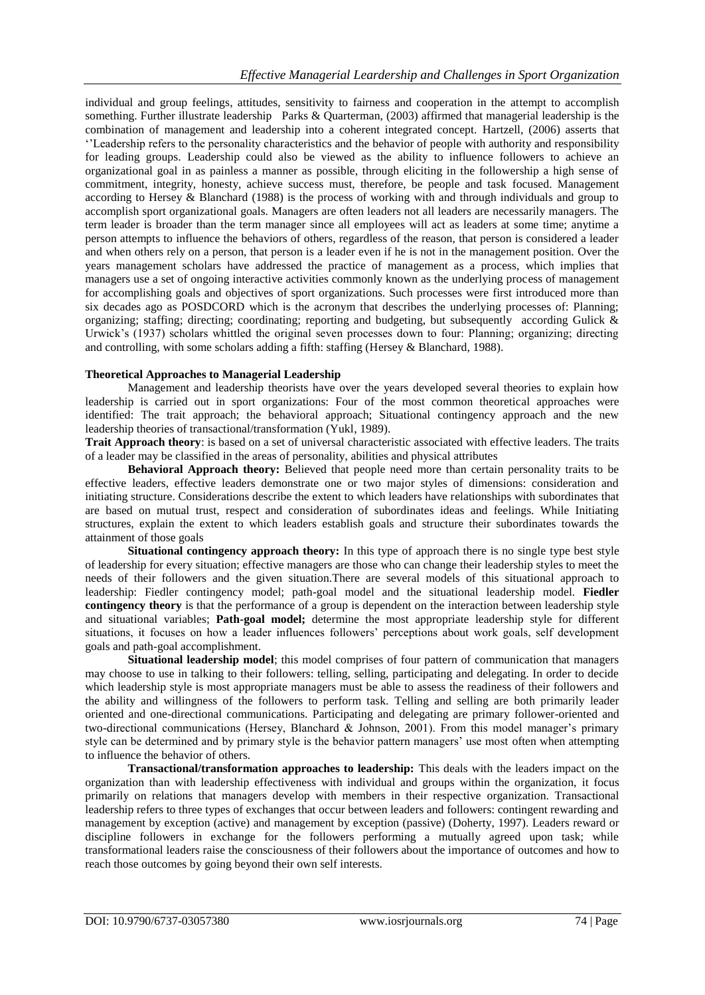individual and group feelings, attitudes, sensitivity to fairness and cooperation in the attempt to accomplish something. Further illustrate leadership Parks & Quarterman, (2003) affirmed that managerial leadership is the combination of management and leadership into a coherent integrated concept. Hartzell, (2006) asserts that ""Leadership refers to the personality characteristics and the behavior of people with authority and responsibility for leading groups. Leadership could also be viewed as the ability to influence followers to achieve an organizational goal in as painless a manner as possible, through eliciting in the followership a high sense of commitment, integrity, honesty, achieve success must, therefore, be people and task focused. Management according to Hersey & Blanchard (1988) is the process of working with and through individuals and group to accomplish sport organizational goals. Managers are often leaders not all leaders are necessarily managers. The term leader is broader than the term manager since all employees will act as leaders at some time; anytime a person attempts to influence the behaviors of others, regardless of the reason, that person is considered a leader and when others rely on a person, that person is a leader even if he is not in the management position. Over the years management scholars have addressed the practice of management as a process, which implies that managers use a set of ongoing interactive activities commonly known as the underlying process of management for accomplishing goals and objectives of sport organizations. Such processes were first introduced more than six decades ago as POSDCORD which is the acronym that describes the underlying processes of: Planning; organizing; staffing; directing; coordinating; reporting and budgeting, but subsequently according Gulick & Urwick's (1937) scholars whittled the original seven processes down to four: Planning; organizing; directing and controlling, with some scholars adding a fifth: staffing (Hersey & Blanchard, 1988).

#### **Theoretical Approaches to Managerial Leadership**

Management and leadership theorists have over the years developed several theories to explain how leadership is carried out in sport organizations: Four of the most common theoretical approaches were identified: The trait approach; the behavioral approach; Situational contingency approach and the new leadership theories of transactional/transformation (Yukl, 1989).

**Trait Approach theory**: is based on a set of universal characteristic associated with effective leaders. The traits of a leader may be classified in the areas of personality, abilities and physical attributes

**Behavioral Approach theory:** Believed that people need more than certain personality traits to be effective leaders, effective leaders demonstrate one or two major styles of dimensions: consideration and initiating structure. Considerations describe the extent to which leaders have relationships with subordinates that are based on mutual trust, respect and consideration of subordinates ideas and feelings. While Initiating structures, explain the extent to which leaders establish goals and structure their subordinates towards the attainment of those goals

**Situational contingency approach theory:** In this type of approach there is no single type best style of leadership for every situation; effective managers are those who can change their leadership styles to meet the needs of their followers and the given situation.There are several models of this situational approach to leadership: Fiedler contingency model; path-goal model and the situational leadership model. **Fiedler contingency theory** is that the performance of a group is dependent on the interaction between leadership style and situational variables; **Path-goal model;** determine the most appropriate leadership style for different situations, it focuses on how a leader influences followers" perceptions about work goals, self development goals and path-goal accomplishment.

**Situational leadership model**; this model comprises of four pattern of communication that managers may choose to use in talking to their followers: telling, selling, participating and delegating. In order to decide which leadership style is most appropriate managers must be able to assess the readiness of their followers and the ability and willingness of the followers to perform task. Telling and selling are both primarily leader oriented and one-directional communications. Participating and delegating are primary follower-oriented and two-directional communications (Hersey, Blanchard & Johnson, 2001). From this model manager's primary style can be determined and by primary style is the behavior pattern managers" use most often when attempting to influence the behavior of others.

**Transactional/transformation approaches to leadership:** This deals with the leaders impact on the organization than with leadership effectiveness with individual and groups within the organization, it focus primarily on relations that managers develop with members in their respective organization. Transactional leadership refers to three types of exchanges that occur between leaders and followers: contingent rewarding and management by exception (active) and management by exception (passive) (Doherty, 1997). Leaders reward or discipline followers in exchange for the followers performing a mutually agreed upon task; while transformational leaders raise the consciousness of their followers about the importance of outcomes and how to reach those outcomes by going beyond their own self interests.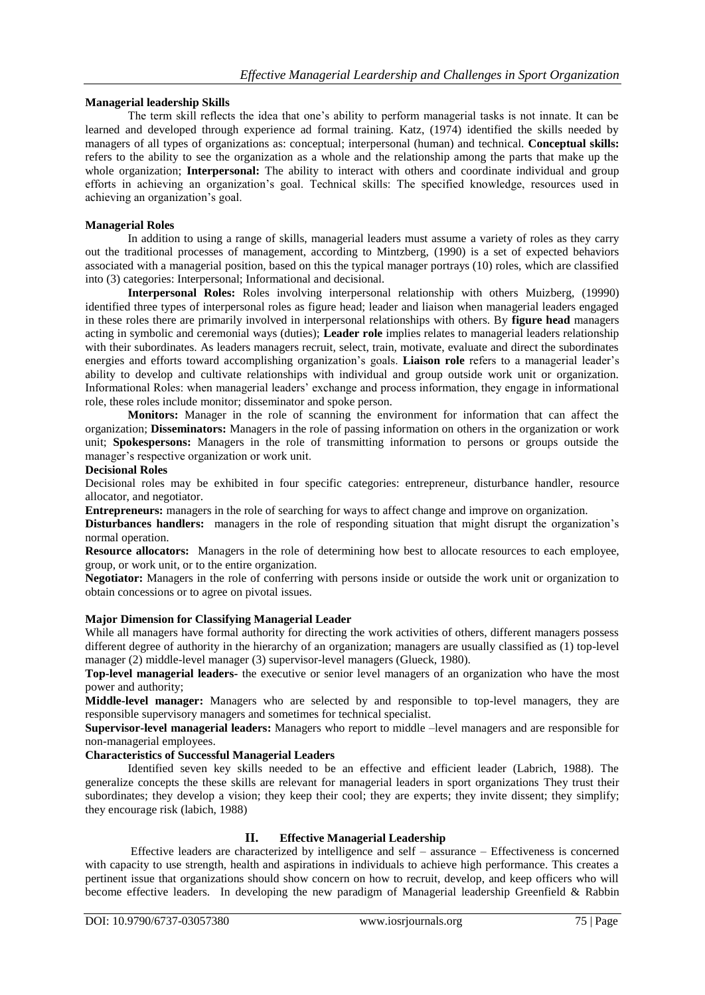#### **Managerial leadership Skills**

The term skill reflects the idea that one"s ability to perform managerial tasks is not innate. It can be learned and developed through experience ad formal training. Katz, (1974) identified the skills needed by managers of all types of organizations as: conceptual; interpersonal (human) and technical. **Conceptual skills:** refers to the ability to see the organization as a whole and the relationship among the parts that make up the whole organization; **Interpersonal:** The ability to interact with others and coordinate individual and group efforts in achieving an organization"s goal. Technical skills: The specified knowledge, resources used in achieving an organization"s goal.

#### **Managerial Roles**

In addition to using a range of skills, managerial leaders must assume a variety of roles as they carry out the traditional processes of management, according to Mintzberg, (1990) is a set of expected behaviors associated with a managerial position, based on this the typical manager portrays (10) roles, which are classified into (3) categories: Interpersonal; Informational and decisional.

**Interpersonal Roles:** Roles involving interpersonal relationship with others Muizberg, (19990) identified three types of interpersonal roles as figure head; leader and liaison when managerial leaders engaged in these roles there are primarily involved in interpersonal relationships with others. By **figure head** managers acting in symbolic and ceremonial ways (duties); **Leader role** implies relates to managerial leaders relationship with their subordinates. As leaders managers recruit, select, train, motivate, evaluate and direct the subordinates energies and efforts toward accomplishing organization's goals. **Liaison role** refers to a managerial leader's ability to develop and cultivate relationships with individual and group outside work unit or organization. Informational Roles: when managerial leaders" exchange and process information, they engage in informational role, these roles include monitor; disseminator and spoke person.

**Monitors:** Manager in the role of scanning the environment for information that can affect the organization; **Disseminators:** Managers in the role of passing information on others in the organization or work unit; **Spokespersons:** Managers in the role of transmitting information to persons or groups outside the manager's respective organization or work unit.

#### **Decisional Roles**

Decisional roles may be exhibited in four specific categories: entrepreneur, disturbance handler, resource allocator, and negotiator.

**Entrepreneurs:** managers in the role of searching for ways to affect change and improve on organization.

**Disturbances handlers:** managers in the role of responding situation that might disrupt the organization's normal operation.

**Resource allocators:** Managers in the role of determining how best to allocate resources to each employee, group, or work unit, or to the entire organization.

**Negotiator:** Managers in the role of conferring with persons inside or outside the work unit or organization to obtain concessions or to agree on pivotal issues.

#### **Major Dimension for Classifying Managerial Leader**

While all managers have formal authority for directing the work activities of others, different managers possess different degree of authority in the hierarchy of an organization; managers are usually classified as (1) top-level manager (2) middle-level manager (3) supervisor-level managers (Glueck, 1980).

**Top-level managerial leaders-** the executive or senior level managers of an organization who have the most power and authority;

**Middle-level manager:** Managers who are selected by and responsible to top-level managers, they are responsible supervisory managers and sometimes for technical specialist.

**Supervisor-level managerial leaders:** Managers who report to middle –level managers and are responsible for non-managerial employees.

# **Characteristics of Successful Managerial Leaders**

Identified seven key skills needed to be an effective and efficient leader (Labrich, 1988). The generalize concepts the these skills are relevant for managerial leaders in sport organizations They trust their subordinates; they develop a vision; they keep their cool; they are experts; they invite dissent; they simplify; they encourage risk (labich, 1988)

## **II. Effective Managerial Leadership**

Effective leaders are characterized by intelligence and self – assurance – Effectiveness is concerned with capacity to use strength, health and aspirations in individuals to achieve high performance. This creates a pertinent issue that organizations should show concern on how to recruit, develop, and keep officers who will become effective leaders. In developing the new paradigm of Managerial leadership Greenfield & Rabbin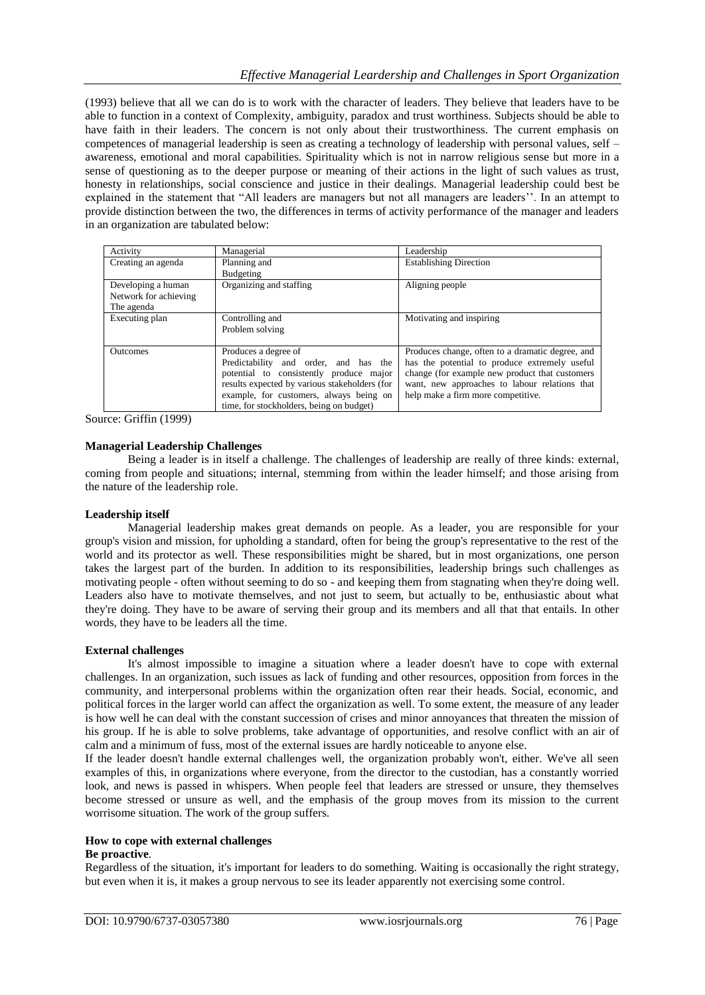(1993) believe that all we can do is to work with the character of leaders. They believe that leaders have to be able to function in a context of Complexity, ambiguity, paradox and trust worthiness. Subjects should be able to have faith in their leaders. The concern is not only about their trustworthiness. The current emphasis on competences of managerial leadership is seen as creating a technology of leadership with personal values, self – awareness, emotional and moral capabilities. Spirituality which is not in narrow religious sense but more in a sense of questioning as to the deeper purpose or meaning of their actions in the light of such values as trust, honesty in relationships, social conscience and justice in their dealings. Managerial leadership could best be explained in the statement that "All leaders are managers but not all managers are leaders". In an attempt to provide distinction between the two, the differences in terms of activity performance of the manager and leaders in an organization are tabulated below:

| Activity              | Managerial                                    | Leadership                                       |
|-----------------------|-----------------------------------------------|--------------------------------------------------|
| Creating an agenda    | Planning and                                  | <b>Establishing Direction</b>                    |
|                       | Budgeting                                     |                                                  |
| Developing a human    | Organizing and staffing                       | Aligning people                                  |
| Network for achieving |                                               |                                                  |
| The agenda            |                                               |                                                  |
| Executing plan        | Controlling and                               | Motivating and inspiring                         |
|                       | Problem solving                               |                                                  |
|                       |                                               |                                                  |
| Outcomes              | Produces a degree of                          | Produces change, often to a dramatic degree, and |
|                       | Predictability and order, and has the         | has the potential to produce extremely useful    |
|                       | potential to consistently produce major       | change (for example new product that customers   |
|                       | results expected by various stakeholders (for | want, new approaches to labour relations that    |
|                       | example, for customers, always being on       | help make a firm more competitive.               |
|                       | time, for stockholders, being on budget)      |                                                  |

Source: Griffin (1999)

#### **Managerial Leadership Challenges**

Being a leader is in itself a challenge. The challenges of leadership are really of three kinds: external, coming from people and situations; internal, stemming from within the leader himself; and those arising from the nature of the leadership role.

#### **Leadership itself**

Managerial leadership makes great demands on people. As a leader, you are responsible for your group's vision and mission, for upholding a standard, often for being the group's representative to the rest of the world and its protector as well. These responsibilities might be shared, but in most organizations, one person takes the largest part of the burden. In addition to its responsibilities, leadership brings such challenges as motivating people - often without seeming to do so - and keeping them from stagnating when they're doing well. Leaders also have to motivate themselves, and not just to seem, but actually to be, enthusiastic about what they're doing. They have to be aware of [serving their group](http://ctb.ku.edu/en/table-of-contents/leadership/leadership-ideas/servant-leadership/main) and its members and all that that entails. In other words, they have to be leaders all the time.

#### **External challenges**

It's almost impossible to imagine a situation where a leader doesn't have to cope with external challenges. In an organization, such issues as lack of funding and other resources, opposition from forces in the community, and interpersonal problems within the organization often rear their heads. Social, economic, and political forces in the larger world can affect the organization as well. To some extent, the measure of any leader is how well he can deal with the constant succession of crises and minor annoyances that threaten the mission of his group. If he is able to solve problems, take advantage of opportunities, and resolve conflict with an air of calm and a minimum of fuss, most of the external issues are hardly noticeable to anyone else.

If the leader doesn't handle external challenges well, the organization probably won't, either. We've all seen examples of this, in organizations where everyone, from the director to the custodian, has a constantly worried look, and news is passed in whispers. When people feel that leaders are stressed or unsure, they themselves become stressed or unsure as well, and the emphasis of the group moves from its mission to the current worrisome situation. The work of the group suffers.

#### **How to cope with external challenges**

# **Be proactive**.

Regardless of the situation, it's important for leaders to do something. Waiting is occasionally the right strategy, but even when it is, it makes a group nervous to see its leader apparently not exercising some control.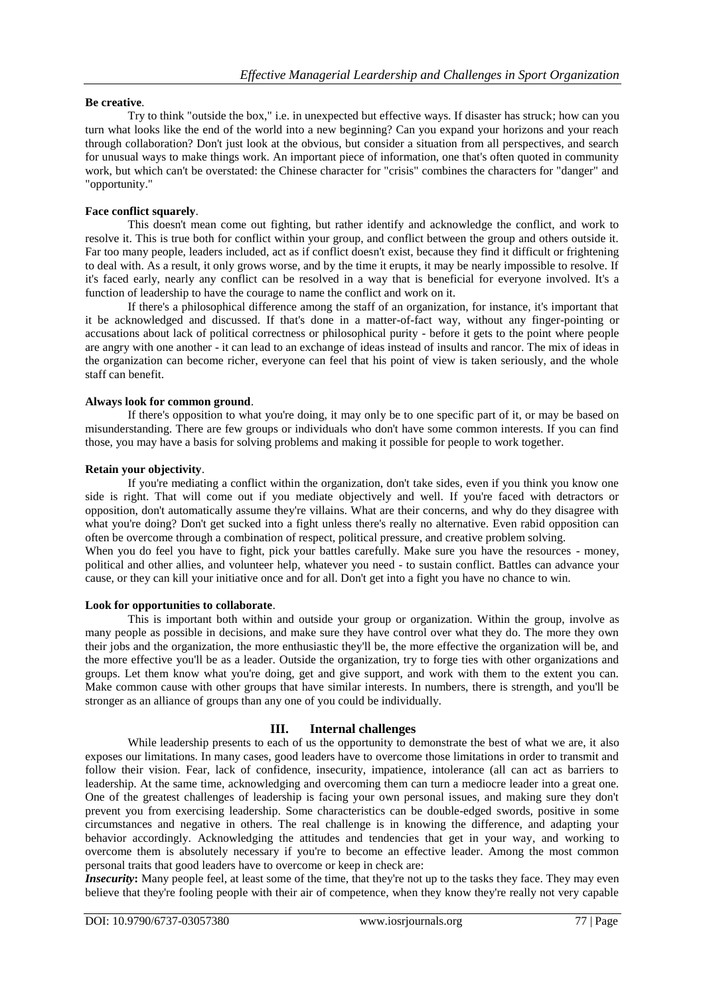#### **Be creative**.

Try to think "outside the box," i.e. in unexpected but effective ways. If disaster has struck; how can you turn what looks like the end of the world into a new beginning? Can you expand your horizons and your reach through collaboration? Don't just look at the obvious, but consider a situation from all perspectives, and search for unusual ways to make things work. An important piece of information, one that's often quoted in community work, but which can't be overstated: the Chinese character for "crisis" combines the characters for "danger" and "opportunity."

#### **Face conflict squarely**.

This doesn't mean come out fighting, but rather identify and acknowledge the conflict, and work to resolve it. This is true both for conflict within your group, and conflict between the group and others outside it. Far too many people, leaders included, act as if conflict doesn't exist, because they find it difficult or frightening to deal with. As a result, it only grows worse, and by the time it erupts, it may be nearly impossible to resolve. If it's faced early, nearly any conflict can be resolved in a way that is beneficial for everyone involved. It's a function of leadership to have the courage to name the conflict and work on it.

If there's a philosophical difference among the staff of an organization, for instance, it's important that it be acknowledged and discussed. If that's done in a matter-of-fact way, without any finger-pointing or accusations about lack of political correctness or philosophical purity - before it gets to the point where people are angry with one another - it can lead to an exchange of ideas instead of insults and rancor. The mix of ideas in the organization can become richer, everyone can feel that his point of view is taken seriously, and the whole staff can benefit.

#### **Always look for common ground**.

If there's opposition to what you're doing, it may only be to one specific part of it, or may be based on misunderstanding. There are few groups or individuals who don't have some common interests. If you can find those, you may have a basis for solving problems and making it possible for people to work together.

#### **Retain your objectivity**.

If you're mediating a conflict within the organization, don't take sides, even if you think you know one side is right. That will come out if you mediate objectively and well. If you're faced with detractors or opposition, don't automatically assume they're villains. What are their concerns, and why do they disagree with what you're doing? Don't get sucked into a fight unless there's really no alternative. Even rabid opposition can often be overcome through a combination of respect, political pressure, and creative problem solving.

When you do feel you have to fight, pick your battles carefully. Make sure you have the resources - money, political and other allies, and volunteer help, whatever you need - to sustain conflict. Battles can advance your cause, or they can kill your initiative once and for all. Don't get into a fight you have no chance to win.

#### **Look for opportunities to collaborate**.

This is important both within and outside your group or organization. Within the group, involve as many people as possible in decisions, and make sure they have control over what they do. The more they own their jobs and the organization, the more enthusiastic they'll be, the more effective the organization will be, and the more effective you'll be as a leader. Outside the organization, try to forge ties with other organizations and groups. Let them know what you're doing, get and give support, and work with them to the extent you can. Make common cause with other groups that have similar interests. In numbers, there is strength, and you'll be stronger as an alliance of groups than any one of you could be individually.

## **III. Internal challenges**

While leadership presents to each of us the opportunity to demonstrate the best of what we are, it also exposes our limitations. In many cases, good leaders have to overcome those limitations in order to transmit and follow their vision. Fear, lack of confidence, insecurity, impatience, intolerance (all can act as barriers to leadership. At the same time, acknowledging and overcoming them can turn a mediocre leader into a great one. One of the greatest challenges of leadership is facing your own personal issues, and making sure they don't prevent you from exercising leadership. Some characteristics can be double-edged swords, positive in some circumstances and negative in others. The real challenge is in knowing the difference, and adapting your behavior accordingly. Acknowledging the attitudes and tendencies that get in your way, and working to overcome them is absolutely necessary if you're to become an effective leader. Among the most common personal traits that good leaders have to overcome or keep in check are:

*Insecurity*: Many people feel, at least some of the time, that they're not up to the tasks they face. They may even believe that they're fooling people with their air of competence, when they know they're really not very capable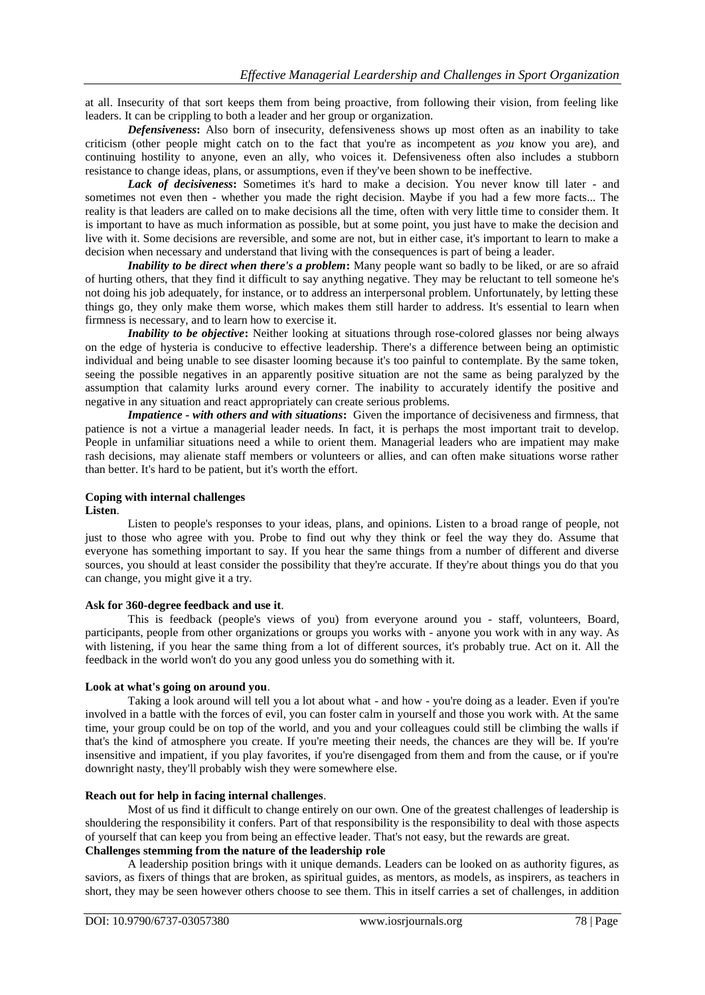at all. Insecurity of that sort keeps them from being proactive, from following their vision, from feeling like leaders. It can be crippling to both a leader and her group or organization.

*Defensiveness***:** Also born of insecurity, defensiveness shows up most often as an inability to take criticism (other people might catch on to the fact that you're as incompetent as *you* know you are), and continuing hostility to anyone, even an ally, who voices it. Defensiveness often also includes a stubborn resistance to change ideas, plans, or assumptions, even if they've been shown to be ineffective.

*Lack of decisiveness***:** Sometimes it's hard to make a decision. You never know till later - and sometimes not even then - whether you made the right decision. Maybe if you had a few more facts... The reality is that leaders are called on to make decisions all the time, often with very little time to consider them. It is important to have as much information as possible, but at some point, you just have to make the decision and live with it. Some decisions are reversible, and some are not, but in either case, it's important to learn to make a decision when necessary and understand that living with the consequences is part of being a leader.

*Inability to be direct when there's a problem:* Many people want so badly to be liked, or are so afraid of hurting others, that they find it difficult to say anything negative. They may be reluctant to tell someone he's not doing his job adequately, for instance, or to address an interpersonal problem. Unfortunately, by letting these things go, they only make them worse, which makes them still harder to address. It's essential to learn when firmness is necessary, and to learn how to exercise it.

*Inability to be objective*: Neither looking at situations through rose-colored glasses nor being always on the edge of hysteria is conducive to effective leadership. There's a difference between being an optimistic individual and being unable to see disaster looming because it's too painful to contemplate. By the same token, seeing the possible negatives in an apparently positive situation are not the same as being paralyzed by the assumption that calamity lurks around every corner. The inability to accurately identify the positive and negative in any situation and react appropriately can create serious problems.

*Impatience - with others and with situations***:** Given the importance of decisiveness and firmness, that patience is not a virtue a managerial leader needs. In fact, it is perhaps the most important trait to develop. People in unfamiliar situations need a while to orient them. Managerial leaders who are impatient may make rash decisions, may alienate staff members or volunteers or allies, and can often make situations worse rather than better. It's hard to be patient, but it's worth the effort.

#### **Coping with internal challenges Listen**.

Listen to people's responses to your ideas, plans, and opinions. Listen to a broad range of people, not just to those who agree with you. Probe to find out why they think or feel the way they do. Assume that everyone has something important to say. If you hear the same things from a number of different and diverse sources, you should at least consider the possibility that they're accurate. If they're about things you do that you can change, you might give it a try.

#### **Ask for 360-degree feedback and use it**.

This is feedback (people's views of you) from everyone around you - staff, volunteers, Board, participants, people from other organizations or groups you works with - anyone you work with in any way. As with listening, if you hear the same thing from a lot of different sources, it's probably true. Act on it. All the feedback in the world won't do you any good unless you do something with it.

# **Look at what's going on around you**.

Taking a look around will tell you a lot about what - and how - you're doing as a leader. Even if you're involved in a battle with the forces of evil, you can foster calm in yourself and those you work with. At the same time, your group could be on top of the world, and you and your colleagues could still be climbing the walls if that's the kind of atmosphere you create. If you're meeting their needs, the chances are they will be. If you're insensitive and impatient, if you play favorites, if you're disengaged from them and from the cause, or if you're downright nasty, they'll probably wish they were somewhere else.

#### **Reach out for help in facing internal challenges**.

Most of us find it difficult to change entirely on our own. One of the greatest challenges of leadership is shouldering the responsibility it confers. Part of that responsibility is the responsibility to deal with those aspects of yourself that can keep you from being an effective leader. That's not easy, but the rewards are great. **Challenges stemming from the nature of the leadership role**

A leadership position brings with it unique demands. Leaders can be looked on as authority figures, as saviors, as fixers of things that are broken, as spiritual guides, as mentors, as models, as inspirers, as teachers in short, they may be seen however others choose to see them. This in itself carries a set of challenges, in addition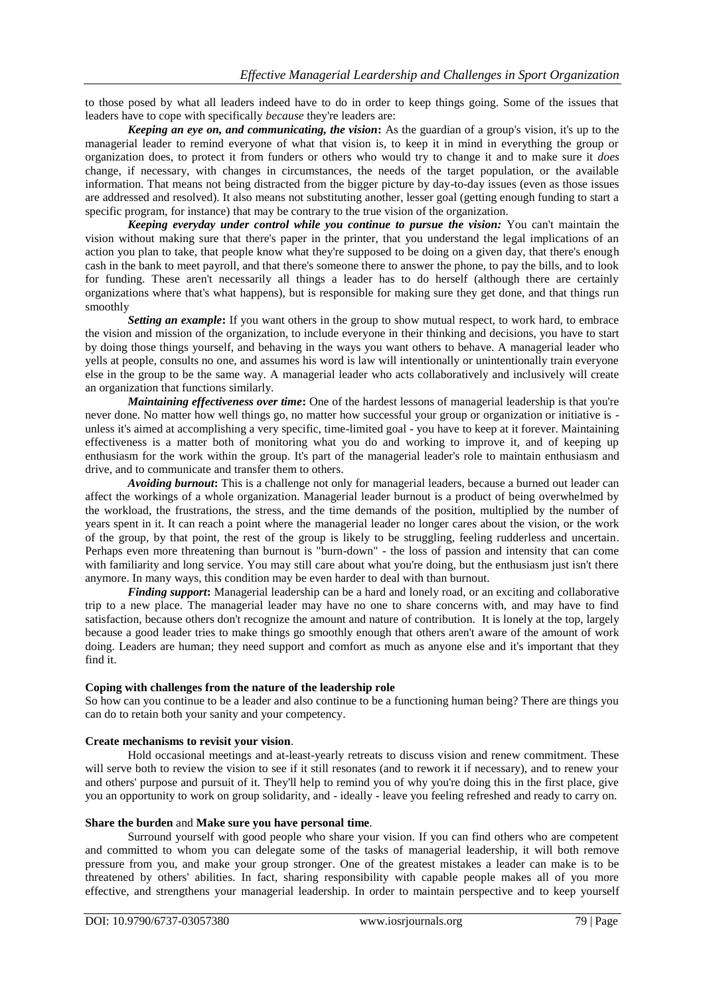to those posed by what all leaders indeed have to do in order to keep things going. Some of the issues that leaders have to cope with specifically *because* they're leaders are:

*Keeping an eye on, and communicating, the vision***:** As the guardian of a group's vision, it's up to the managerial leader to remind everyone of what that vision is, to keep it in mind in everything the group or organization does, to protect it from funders or others who would try to change it and to make sure it *does* change, if necessary, with changes in circumstances, the needs of the target population, or the available information. That means not being distracted from the bigger picture by day-to-day issues (even as those issues are addressed and resolved). It also means not substituting another, lesser goal (getting enough funding to start a specific program, for instance) that may be contrary to the true vision of the organization.

*Keeping everyday under control while you continue to pursue the vision:* You can't maintain the vision without making sure that there's paper in the printer, that you understand the legal implications of an action you plan to take, that people know what they're supposed to be doing on a given day, that there's enough cash in the bank to meet payroll, and that there's someone there to answer the phone, to pay the bills, and to look for funding. These aren't necessarily all things a leader has to do herself (although there are certainly organizations where that's what happens), but is responsible for making sure they get done, and that things run smoothly

*Setting an example***:** If you want others in the group to show mutual respect, to work hard, to embrace the vision and mission of the organization, to include everyone in their thinking and decisions, you have to start by doing those things yourself, and behaving in the ways you want others to behave. A managerial leader who yells at people, consults no one, and assumes his word is law will intentionally or unintentionally train everyone else in the group to be the same way. A managerial leader who acts collaboratively and inclusively will create an organization that functions similarly.

*Maintaining effectiveness over time***:** One of the hardest lessons of managerial leadership is that you're never done. No matter how well things go, no matter how successful your group or organization or initiative is unless it's aimed at accomplishing a very specific, time-limited goal - you have to keep at it forever. Maintaining effectiveness is a matter both of monitoring what you do and working to improve it, and of keeping up enthusiasm for the work within the group. It's part of the managerial leader's role to maintain enthusiasm and drive, and to communicate and transfer them to others.

*Avoiding burnout***:** This is a challenge not only for managerial leaders, because a burned out leader can affect the workings of a whole organization. Managerial leader burnout is a product of being overwhelmed by the workload, the frustrations, the stress, and the time demands of the position, multiplied by the number of years spent in it. It can reach a point where the managerial leader no longer cares about the vision, or the work of the group, by that point, the rest of the group is likely to be struggling, feeling rudderless and uncertain. Perhaps even more threatening than burnout is "burn-down" - the loss of passion and intensity that can come with familiarity and long service. You may still care about what you're doing, but the enthusiasm just isn't there anymore. In many ways, this condition may be even harder to deal with than burnout.

*Finding support*: Managerial leadership can be a hard and lonely road, or an exciting and collaborative trip to a new place. The managerial leader may have no one to share concerns with, and may have to find satisfaction, because others don't recognize the amount and nature of contribution. It is lonely at the top, largely because a good leader tries to make things go smoothly enough that others aren't aware of the amount of work doing. Leaders are human; they need support and comfort as much as anyone else and it's important that they find it.

#### **Coping with challenges from the nature of the leadership role**

So how can you continue to be a leader and also continue to be a functioning human being? There are things you can do to retain both your sanity and your competency.

#### **Create mechanisms to revisit your vision**.

Hold occasional meetings and at-least-yearly retreats to discuss vision and renew commitment. These will serve both to review the vision to see if it still resonates (and to rework it if necessary), and to renew your and others' purpose and pursuit of it. They'll help to remind you of why you're doing this in the first place, give you an opportunity to work on group solidarity, and - ideally - leave you feeling refreshed and ready to carry on.

#### **Share the burden** and **Make sure you have personal time**.

Surround yourself with good people who share your vision. If you can find others who are competent and committed to whom you can delegate some of the tasks of managerial leadership, it will both remove pressure from you, and make your group stronger. One of the greatest mistakes a leader can make is to be threatened by others' abilities. In fact, sharing responsibility with capable people makes all of you more effective, and strengthens your managerial leadership. In order to maintain perspective and to keep yourself